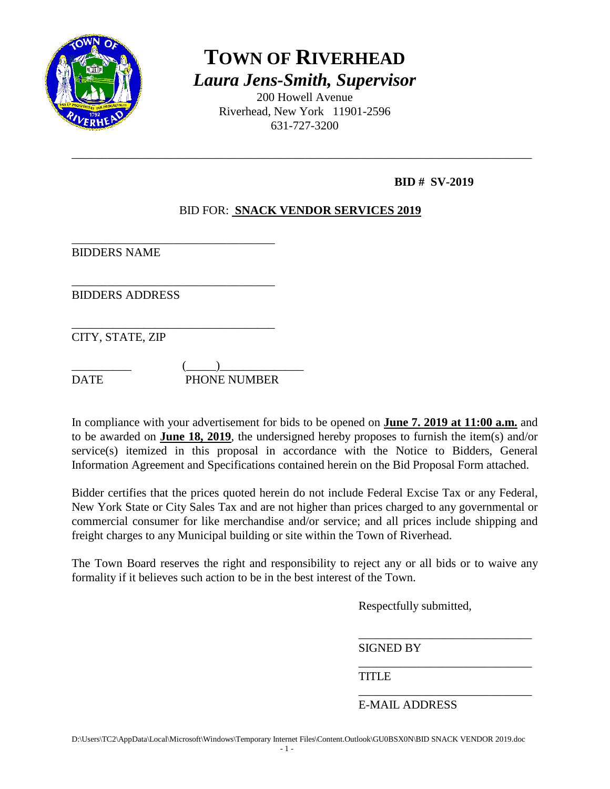

# **TOWN OF RIVERHEAD** *Laura Jens-Smith, Supervisor*

200 Howell Avenue Riverhead, New York 11901-2596 631-727-3200

\_\_\_\_\_\_\_\_\_\_\_\_\_\_\_\_\_\_\_\_\_\_\_\_\_\_\_\_\_\_\_\_\_\_\_\_\_\_\_\_\_\_\_\_\_\_\_\_\_\_\_\_\_\_\_\_\_\_\_\_\_\_\_\_\_\_\_\_\_\_\_\_\_\_\_\_\_

# **BID # SV-2019**

# BID FOR: **SNACK VENDOR SERVICES 2019**

\_\_\_\_\_\_\_\_\_\_\_\_\_\_\_\_\_\_\_\_\_\_\_\_\_\_\_\_\_\_\_\_\_\_ BIDDERS NAME

BIDDERS ADDRESS

\_\_\_\_\_\_\_\_\_\_\_\_\_\_\_\_\_\_\_\_\_\_\_\_\_\_\_\_\_\_\_\_\_\_ CITY, STATE, ZIP

 $\qquad \qquad (\underline{\hspace{1cm}})$ DATE PHONE NUMBER

\_\_\_\_\_\_\_\_\_\_\_\_\_\_\_\_\_\_\_\_\_\_\_\_\_\_\_\_\_\_\_\_\_\_

In compliance with your advertisement for bids to be opened on **June 7. 2019 at 11:00 a.m.** and to be awarded on **June 18, 2019**, the undersigned hereby proposes to furnish the item(s) and/or service(s) itemized in this proposal in accordance with the Notice to Bidders, General Information Agreement and Specifications contained herein on the Bid Proposal Form attached.

Bidder certifies that the prices quoted herein do not include Federal Excise Tax or any Federal, New York State or City Sales Tax and are not higher than prices charged to any governmental or commercial consumer for like merchandise and/or service; and all prices include shipping and freight charges to any Municipal building or site within the Town of Riverhead.

The Town Board reserves the right and responsibility to reject any or all bids or to waive any formality if it believes such action to be in the best interest of the Town.

Respectfully submitted,

\_\_\_\_\_\_\_\_\_\_\_\_\_\_\_\_\_\_\_\_\_\_\_\_\_\_\_\_\_

\_\_\_\_\_\_\_\_\_\_\_\_\_\_\_\_\_\_\_\_\_\_\_\_\_\_\_\_\_

SIGNED BY

**TITLE** 

\_\_\_\_\_\_\_\_\_\_\_\_\_\_\_\_\_\_\_\_\_\_\_\_\_\_\_\_\_ E-MAIL ADDRESS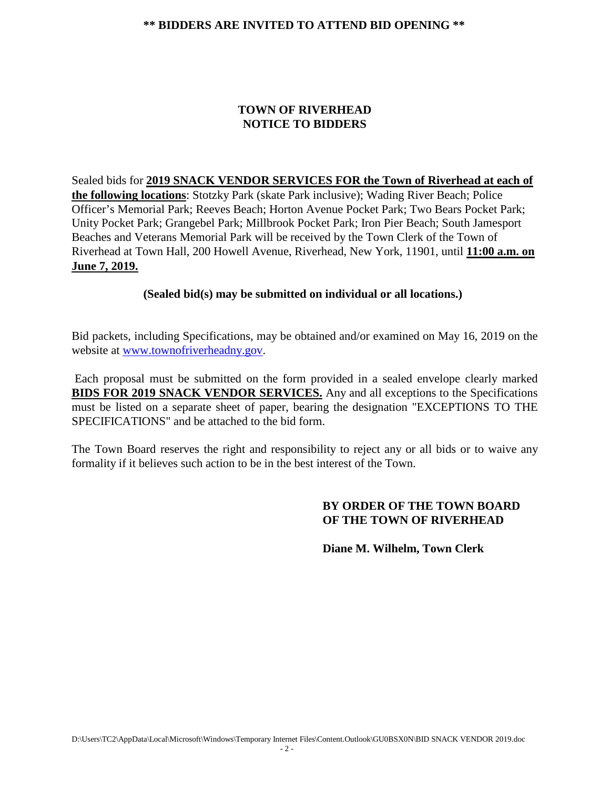#### **\*\* BIDDERS ARE INVITED TO ATTEND BID OPENING \*\***

#### **TOWN OF RIVERHEAD NOTICE TO BIDDERS**

Sealed bids for **2019 SNACK VENDOR SERVICES FOR the Town of Riverhead at each of the following locations**: Stotzky Park (skate Park inclusive); Wading River Beach; Police Officer's Memorial Park; Reeves Beach; Horton Avenue Pocket Park; Two Bears Pocket Park; Unity Pocket Park; Grangebel Park; Millbrook Pocket Park; Iron Pier Beach; South Jamesport Beaches and Veterans Memorial Park will be received by the Town Clerk of the Town of Riverhead at Town Hall, 200 Howell Avenue, Riverhead, New York, 11901, until **11:00 a.m. on June 7, 2019.**

#### **(Sealed bid(s) may be submitted on individual or all locations.)**

Bid packets, including Specifications, may be obtained and/or examined on May 16, 2019 on the website at [www.townofriverheadny.gov.](http://www.riverheadli.com/)

Each proposal must be submitted on the form provided in a sealed envelope clearly marked **BIDS FOR 2019 SNACK VENDOR SERVICES.** Any and all exceptions to the Specifications must be listed on a separate sheet of paper, bearing the designation "EXCEPTIONS TO THE SPECIFICATIONS" and be attached to the bid form.

The Town Board reserves the right and responsibility to reject any or all bids or to waive any formality if it believes such action to be in the best interest of the Town.

#### **BY ORDER OF THE TOWN BOARD OF THE TOWN OF RIVERHEAD**

**Diane M. Wilhelm, Town Clerk**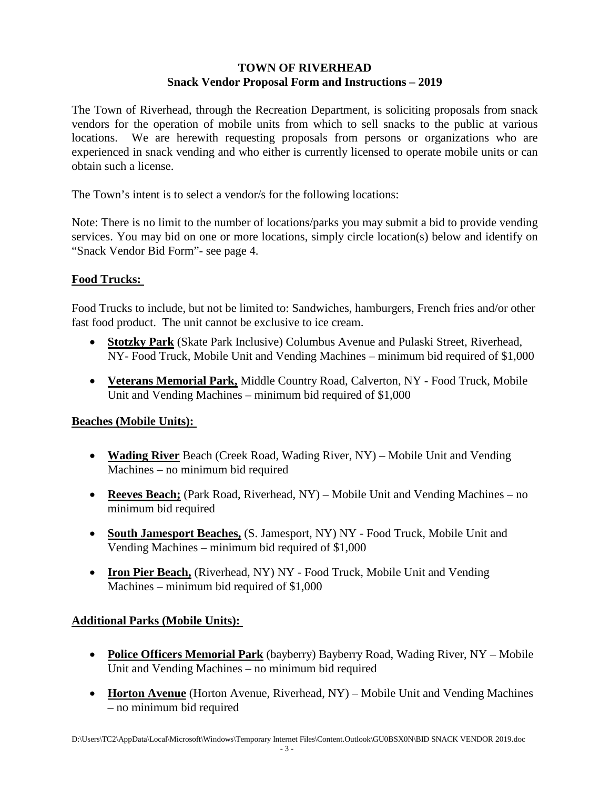## **TOWN OF RIVERHEAD Snack Vendor Proposal Form and Instructions – 2019**

The Town of Riverhead, through the Recreation Department, is soliciting proposals from snack vendors for the operation of mobile units from which to sell snacks to the public at various locations. We are herewith requesting proposals from persons or organizations who are experienced in snack vending and who either is currently licensed to operate mobile units or can obtain such a license.

The Town's intent is to select a vendor/s for the following locations:

Note: There is no limit to the number of locations/parks you may submit a bid to provide vending services. You may bid on one or more locations, simply circle location(s) below and identify on "Snack Vendor Bid Form"- see page 4.

## **Food Trucks:**

Food Trucks to include, but not be limited to: Sandwiches, hamburgers, French fries and/or other fast food product. The unit cannot be exclusive to ice cream.

- **Stotzky Park** (Skate Park Inclusive) Columbus Avenue and Pulaski Street, Riverhead, NY- Food Truck, Mobile Unit and Vending Machines – minimum bid required of \$1,000
- **Veterans Memorial Park,** Middle Country Road, Calverton, NY Food Truck, Mobile Unit and Vending Machines – minimum bid required of \$1,000

## **Beaches (Mobile Units):**

- **Wading River** Beach (Creek Road, Wading River, NY) Mobile Unit and Vending Machines – no minimum bid required
- **Reeves Beach;** (Park Road, Riverhead, NY) Mobile Unit and Vending Machines no minimum bid required
- **South Jamesport Beaches,** (S. Jamesport, NY) NY Food Truck, Mobile Unit and Vending Machines – minimum bid required of \$1,000
- **Iron Pier Beach,** (Riverhead, NY) NY Food Truck, Mobile Unit and Vending Machines – minimum bid required of \$1,000

# **Additional Parks (Mobile Units):**

- **Police Officers Memorial Park** (bayberry) Bayberry Road, Wading River, NY Mobile Unit and Vending Machines – no minimum bid required
- **Horton Avenue** (Horton Avenue, Riverhead, NY) Mobile Unit and Vending Machines – no minimum bid required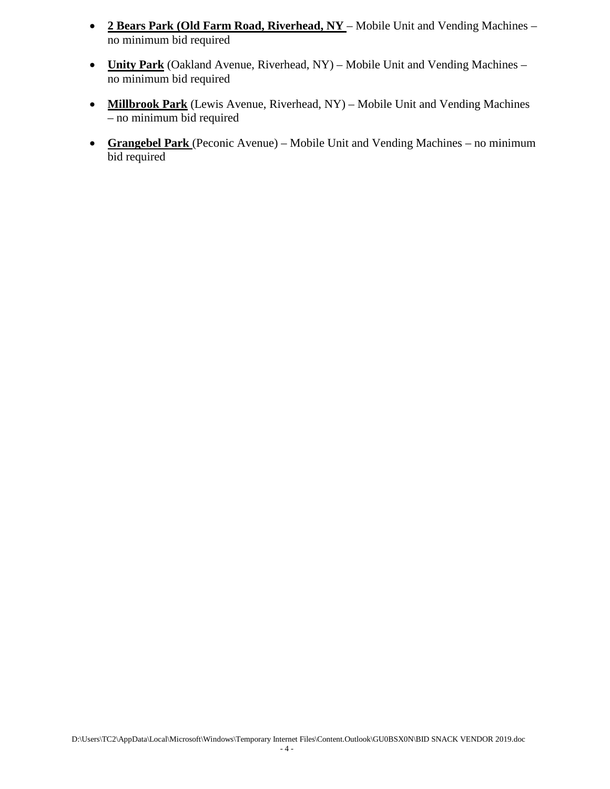- **2 Bears Park (Old Farm Road, Riverhead, NY** Mobile Unit and Vending Machines no minimum bid required
- **Unity Park** (Oakland Avenue, Riverhead, NY) Mobile Unit and Vending Machines no minimum bid required
- **Millbrook Park** (Lewis Avenue, Riverhead, NY) Mobile Unit and Vending Machines – no minimum bid required
- **Grangebel Park** (Peconic Avenue) Mobile Unit and Vending Machines no minimum bid required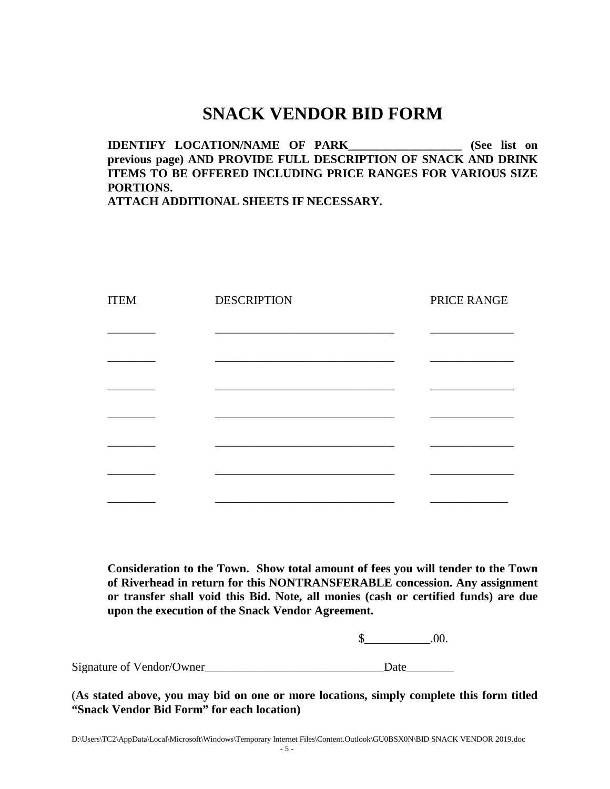# **SNACK VENDOR BID FORM**

# **IDENTIFY LOCATION/NAME OF PARK\_\_\_\_\_\_\_\_\_\_\_\_\_\_\_\_\_\_\_ (See list on previous page) AND PROVIDE FULL DESCRIPTION OF SNACK AND DRINK ITEMS TO BE OFFERED INCLUDING PRICE RANGES FOR VARIOUS SIZE PORTIONS.**

**ATTACH ADDITIONAL SHEETS IF NECESSARY.**

| <b>ITEM</b> | <b>DESCRIPTION</b> | PRICE RANGE |
|-------------|--------------------|-------------|
|             |                    |             |
|             |                    |             |
|             |                    |             |
|             |                    |             |
|             |                    |             |
|             |                    |             |
|             |                    |             |
|             |                    |             |
|             |                    |             |
|             |                    |             |

**Consideration to the Town. Show total amount of fees you will tender to the Town of Riverhead in return for this NONTRANSFERABLE concession. Any assignment or transfer shall void this Bid. Note, all monies (cash or certified funds) are due upon the execution of the Snack Vendor Agreement.**

 $$$  .00.

Signature of Vendor/Owner Date

(**As stated above, you may bid on one or more locations, simply complete this form titled "Snack Vendor Bid Form" for each location)**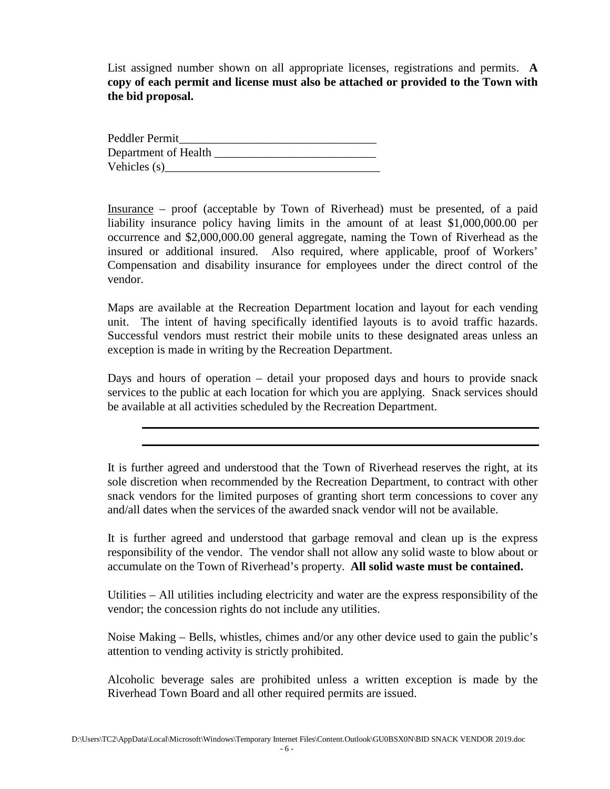List assigned number shown on all appropriate licenses, registrations and permits. **A copy of each permit and license must also be attached or provided to the Town with the bid proposal.**

Peddler Permit Department of Health Vehicles  $(s)$ 

Insurance – proof (acceptable by Town of Riverhead) must be presented, of a paid liability insurance policy having limits in the amount of at least \$1,000,000.00 per occurrence and \$2,000,000.00 general aggregate, naming the Town of Riverhead as the insured or additional insured. Also required, where applicable, proof of Workers' Compensation and disability insurance for employees under the direct control of the vendor.

Maps are available at the Recreation Department location and layout for each vending unit. The intent of having specifically identified layouts is to avoid traffic hazards. Successful vendors must restrict their mobile units to these designated areas unless an exception is made in writing by the Recreation Department.

Days and hours of operation – detail your proposed days and hours to provide snack services to the public at each location for which you are applying. Snack services should be available at all activities scheduled by the Recreation Department.

It is further agreed and understood that the Town of Riverhead reserves the right, at its sole discretion when recommended by the Recreation Department, to contract with other snack vendors for the limited purposes of granting short term concessions to cover any and/all dates when the services of the awarded snack vendor will not be available.

It is further agreed and understood that garbage removal and clean up is the express responsibility of the vendor. The vendor shall not allow any solid waste to blow about or accumulate on the Town of Riverhead's property. **All solid waste must be contained.**

Utilities – All utilities including electricity and water are the express responsibility of the vendor; the concession rights do not include any utilities.

Noise Making – Bells, whistles, chimes and/or any other device used to gain the public's attention to vending activity is strictly prohibited.

Alcoholic beverage sales are prohibited unless a written exception is made by the Riverhead Town Board and all other required permits are issued.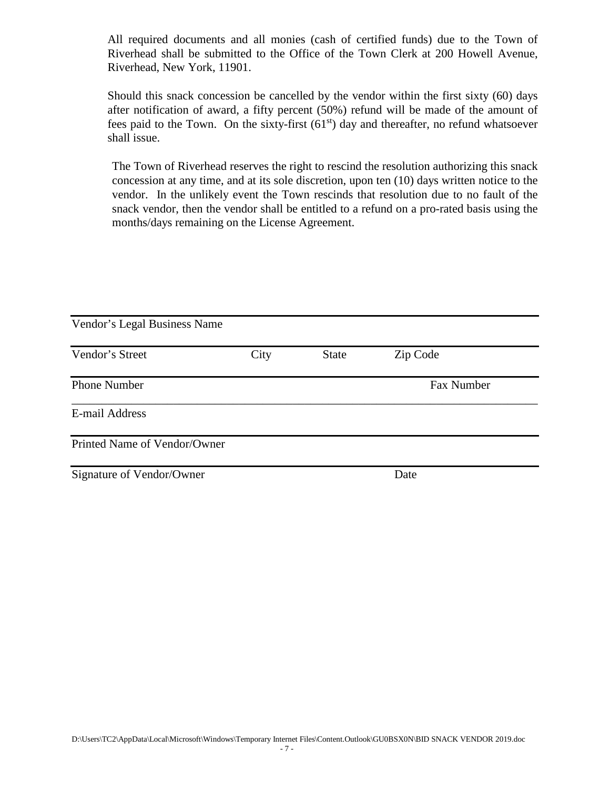All required documents and all monies (cash of certified funds) due to the Town of Riverhead shall be submitted to the Office of the Town Clerk at 200 Howell Avenue, Riverhead, New York, 11901.

Should this snack concession be cancelled by the vendor within the first sixty (60) days after notification of award, a fifty percent (50%) refund will be made of the amount of fees paid to the Town. On the sixty-first  $(61<sup>st</sup>)$  day and thereafter, no refund whatsoever shall issue.

The Town of Riverhead reserves the right to rescind the resolution authorizing this snack concession at any time, and at its sole discretion, upon ten (10) days written notice to the vendor. In the unlikely event the Town rescinds that resolution due to no fault of the snack vendor, then the vendor shall be entitled to a refund on a pro-rated basis using the months/days remaining on the License Agreement.

| Vendor's Legal Business Name |      |              |            |  |
|------------------------------|------|--------------|------------|--|
| Vendor's Street              | City | <b>State</b> | Zip Code   |  |
| <b>Phone Number</b>          |      |              | Fax Number |  |
| E-mail Address               |      |              |            |  |
| Printed Name of Vendor/Owner |      |              |            |  |
| Signature of Vendor/Owner    |      |              | Date       |  |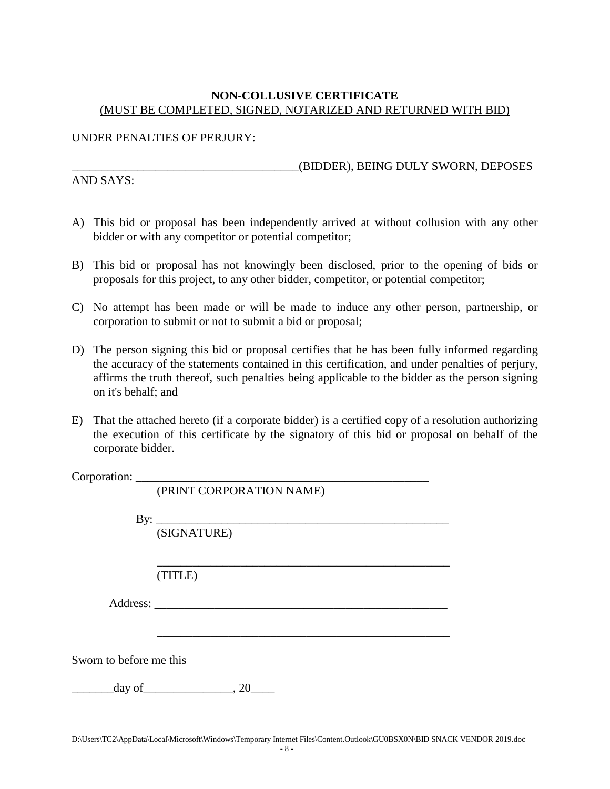#### **NON-COLLUSIVE CERTIFICATE** (MUST BE COMPLETED, SIGNED, NOTARIZED AND RETURNED WITH BID)

#### UNDER PENALTIES OF PERJURY:

AND SAYS:

\_\_\_\_\_\_\_\_\_\_\_\_\_\_\_\_\_\_\_\_\_\_\_\_\_\_\_\_\_\_\_\_\_\_\_\_\_\_(BIDDER), BEING DULY SWORN, DEPOSES

- A) This bid or proposal has been independently arrived at without collusion with any other bidder or with any competitor or potential competitor;
- B) This bid or proposal has not knowingly been disclosed, prior to the opening of bids or proposals for this project, to any other bidder, competitor, or potential competitor;
- C) No attempt has been made or will be made to induce any other person, partnership, or corporation to submit or not to submit a bid or proposal;
- D) The person signing this bid or proposal certifies that he has been fully informed regarding the accuracy of the statements contained in this certification, and under penalties of perjury, affirms the truth thereof, such penalties being applicable to the bidder as the person signing on it's behalf; and
- E) That the attached hereto (if a corporate bidder) is a certified copy of a resolution authorizing the execution of this certificate by the signatory of this bid or proposal on behalf of the corporate bidder.

Corporation: \_\_\_\_\_\_\_\_\_\_\_\_\_\_\_\_\_\_\_\_\_\_\_\_\_\_\_\_\_\_\_\_\_\_\_\_\_\_\_\_\_\_\_\_\_\_\_\_\_

|                         | (PRINT CORPORATION NAME)            |
|-------------------------|-------------------------------------|
|                         | By: $\qquad \qquad$<br>(SIGNATURE)  |
|                         | (TITLE)                             |
|                         |                                     |
| Sworn to before me this |                                     |
|                         | $\alpha$ day of $\qquad \qquad .20$ |